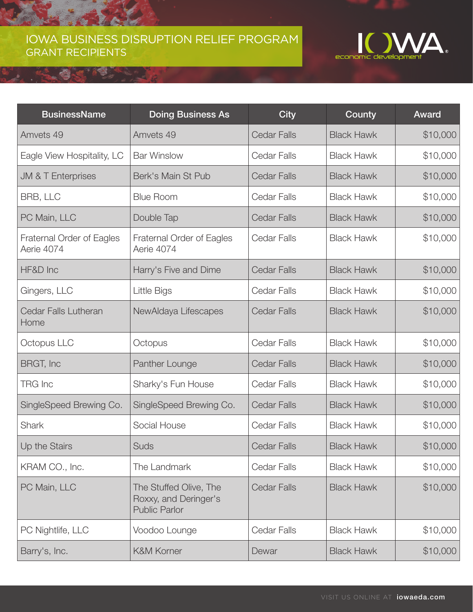## IOWA BUSINESS DISRUPTION RELIEF PROGRAM GRANT RECIPIENTS

♔



| <b>BusinessName</b>                     | <b>Doing Business As</b>                                                | <b>City</b>        | County            | <b>Award</b> |
|-----------------------------------------|-------------------------------------------------------------------------|--------------------|-------------------|--------------|
| Amvets 49                               | Amvets 49                                                               | <b>Cedar Falls</b> | <b>Black Hawk</b> | \$10,000     |
| Eagle View Hospitality, LC              | <b>Bar Winslow</b>                                                      | Cedar Falls        | <b>Black Hawk</b> | \$10,000     |
| <b>JM &amp; T Enterprises</b>           | Berk's Main St Pub                                                      | <b>Cedar Falls</b> | <b>Black Hawk</b> | \$10,000     |
| BRB, LLC                                | <b>Blue Room</b>                                                        | Cedar Falls        | <b>Black Hawk</b> | \$10,000     |
| PC Main, LLC                            | Double Tap                                                              | <b>Cedar Falls</b> | <b>Black Hawk</b> | \$10,000     |
| Fraternal Order of Eagles<br>Aerie 4074 | <b>Fraternal Order of Eagles</b><br>Aerie 4074                          | Cedar Falls        | <b>Black Hawk</b> | \$10,000     |
| HF&D Inc                                | Harry's Five and Dime                                                   | <b>Cedar Falls</b> | <b>Black Hawk</b> | \$10,000     |
| Gingers, LLC                            | Little Bigs                                                             | <b>Cedar Falls</b> | <b>Black Hawk</b> | \$10,000     |
| <b>Cedar Falls Lutheran</b><br>Home     | NewAldaya Lifescapes                                                    | <b>Cedar Falls</b> | <b>Black Hawk</b> | \$10,000     |
| Octopus LLC                             | Octopus                                                                 | Cedar Falls        | <b>Black Hawk</b> | \$10,000     |
| BRGT, Inc                               | Panther Lounge                                                          | <b>Cedar Falls</b> | <b>Black Hawk</b> | \$10,000     |
| <b>TRG Inc</b>                          | Sharky's Fun House                                                      | Cedar Falls        | <b>Black Hawk</b> | \$10,000     |
| SingleSpeed Brewing Co.                 | SingleSpeed Brewing Co.                                                 | <b>Cedar Falls</b> | <b>Black Hawk</b> | \$10,000     |
| <b>Shark</b>                            | Social House                                                            | Cedar Falls        | <b>Black Hawk</b> | \$10,000     |
| Up the Stairs                           | Suds                                                                    | <b>Cedar Falls</b> | <b>Black Hawk</b> | \$10,000     |
| KRAM CO., Inc.                          | The Landmark                                                            | Cedar Falls        | <b>Black Hawk</b> | \$10,000     |
| PC Main, LLC                            | The Stuffed Olive, The<br>Roxxy, and Deringer's<br><b>Public Parlor</b> | <b>Cedar Falls</b> | <b>Black Hawk</b> | \$10,000     |
| PC Nightlife, LLC                       | Voodoo Lounge                                                           | Cedar Falls        | <b>Black Hawk</b> | \$10,000     |
| Barry's, Inc.                           | <b>K&amp;M Korner</b>                                                   | Dewar              | <b>Black Hawk</b> | \$10,000     |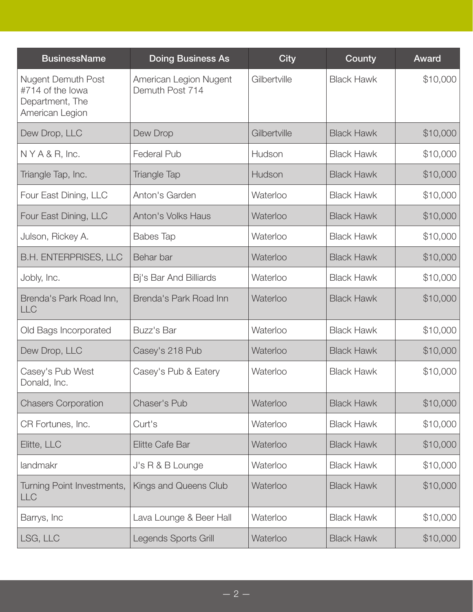| <b>BusinessName</b>                                                                 | <b>Doing Business As</b>                  | <b>City</b>  | County            | <b>Award</b> |
|-------------------------------------------------------------------------------------|-------------------------------------------|--------------|-------------------|--------------|
| <b>Nugent Demuth Post</b><br>#714 of the lowa<br>Department, The<br>American Legion | American Legion Nugent<br>Demuth Post 714 | Gilbertville | <b>Black Hawk</b> | \$10,000     |
| Dew Drop, LLC                                                                       | Dew Drop                                  | Gilbertville | <b>Black Hawk</b> | \$10,000     |
| $N Y A & R$ , Inc.                                                                  | <b>Federal Pub</b>                        | Hudson       | <b>Black Hawk</b> | \$10,000     |
| Triangle Tap, Inc.                                                                  | <b>Triangle Tap</b>                       | Hudson       | <b>Black Hawk</b> | \$10,000     |
| Four East Dining, LLC                                                               | Anton's Garden                            | Waterloo     | <b>Black Hawk</b> | \$10,000     |
| Four East Dining, LLC                                                               | <b>Anton's Volks Haus</b>                 | Waterloo     | <b>Black Hawk</b> | \$10,000     |
| Julson, Rickey A.                                                                   | <b>Babes Tap</b>                          | Waterloo     | <b>Black Hawk</b> | \$10,000     |
| <b>B.H. ENTERPRISES, LLC</b>                                                        | Behar bar                                 | Waterloo     | <b>Black Hawk</b> | \$10,000     |
| Jobly, Inc.                                                                         | Bj's Bar And Billiards                    | Waterloo     | <b>Black Hawk</b> | \$10,000     |
| Brenda's Park Road Inn,<br><b>LLC</b>                                               | Brenda's Park Road Inn                    | Waterloo     | <b>Black Hawk</b> | \$10,000     |
| Old Bags Incorporated                                                               | Buzz's Bar                                | Waterloo     | <b>Black Hawk</b> | \$10,000     |
| Dew Drop, LLC                                                                       | Casey's 218 Pub                           | Waterloo     | <b>Black Hawk</b> | \$10,000     |
| Casey's Pub West<br>Donald, Inc.                                                    | Casey's Pub & Eatery                      | Waterloo     | <b>Black Hawk</b> | \$10,000     |
| <b>Chasers Corporation</b>                                                          | <b>Chaser's Pub</b>                       | Waterloo     | <b>Black Hawk</b> | \$10,000     |
| CR Fortunes, Inc.                                                                   | Curt's                                    | Waterloo     | <b>Black Hawk</b> | \$10,000     |
| Elitte, LLC                                                                         | Elitte Cafe Bar                           | Waterloo     | <b>Black Hawk</b> | \$10,000     |
| landmakr                                                                            | J's R & B Lounge                          | Waterloo     | <b>Black Hawk</b> | \$10,000     |
| Turning Point Investments,<br>LLC                                                   | Kings and Queens Club                     | Waterloo     | <b>Black Hawk</b> | \$10,000     |
| Barrys, Inc                                                                         | Lava Lounge & Beer Hall                   | Waterloo     | <b>Black Hawk</b> | \$10,000     |
| LSG, LLC                                                                            | Legends Sports Grill                      | Waterloo     | <b>Black Hawk</b> | \$10,000     |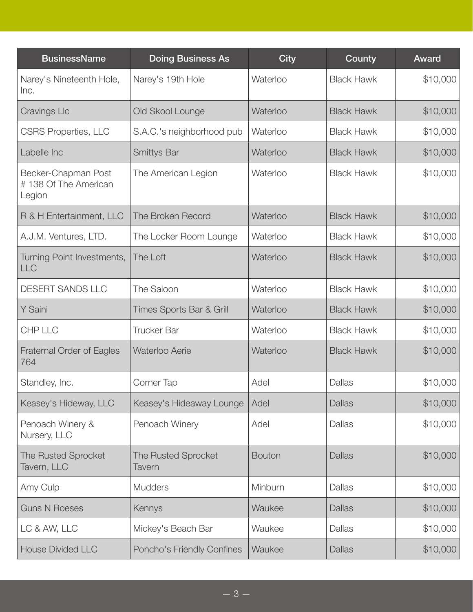| <b>BusinessName</b>                                   | <b>Doing Business As</b>      | <b>City</b>   | County            | <b>Award</b> |
|-------------------------------------------------------|-------------------------------|---------------|-------------------|--------------|
| Narey's Nineteenth Hole,<br>Inc.                      | Narey's 19th Hole             | Waterloo      | <b>Black Hawk</b> | \$10,000     |
| <b>Cravings Llc</b>                                   | Old Skool Lounge              | Waterloo      | <b>Black Hawk</b> | \$10,000     |
| <b>CSRS Properties, LLC</b>                           | S.A.C.'s neighborhood pub     | Waterloo      | <b>Black Hawk</b> | \$10,000     |
| Labelle Inc                                           | <b>Smittys Bar</b>            | Waterloo      | <b>Black Hawk</b> | \$10,000     |
| Becker-Chapman Post<br>#138 Of The American<br>Legion | The American Legion           | Waterloo      | <b>Black Hawk</b> | \$10,000     |
| R & H Entertainment, LLC                              | The Broken Record             | Waterloo      | <b>Black Hawk</b> | \$10,000     |
| A.J.M. Ventures, LTD.                                 | The Locker Room Lounge        | Waterloo      | <b>Black Hawk</b> | \$10,000     |
| Turning Point Investments,<br><b>LLC</b>              | The Loft                      | Waterloo      | <b>Black Hawk</b> | \$10,000     |
| <b>DESERT SANDS LLC</b>                               | The Saloon                    | Waterloo      | <b>Black Hawk</b> | \$10,000     |
| Y Saini                                               | Times Sports Bar & Grill      | Waterloo      | <b>Black Hawk</b> | \$10,000     |
| CHP LLC                                               | <b>Trucker Bar</b>            | Waterloo      | <b>Black Hawk</b> | \$10,000     |
| Fraternal Order of Eagles<br>764                      | <b>Waterloo Aerie</b>         | Waterloo      | <b>Black Hawk</b> | \$10,000     |
| Standley, Inc.                                        | Corner Tap                    | Adel          | <b>Dallas</b>     | \$10,000     |
| Keasey's Hideway, LLC                                 | Keasey's Hideaway Lounge      | Adel          | <b>Dallas</b>     | \$10,000     |
| Penoach Winery &<br>Nursery, LLC                      | Penoach Winery                | Adel          | <b>Dallas</b>     | \$10,000     |
| <b>The Rusted Sprocket</b><br>Tavern, LLC             | The Rusted Sprocket<br>Tavern | <b>Bouton</b> | <b>Dallas</b>     | \$10,000     |
| Amy Culp                                              | <b>Mudders</b>                | Minburn       | <b>Dallas</b>     | \$10,000     |
| <b>Guns N Roeses</b>                                  | Kennys                        | Waukee        | <b>Dallas</b>     | \$10,000     |
| LC & AW, LLC                                          | Mickey's Beach Bar            | Waukee        | Dallas            | \$10,000     |
| <b>House Divided LLC</b>                              | Poncho's Friendly Confines    | Waukee        | <b>Dallas</b>     | \$10,000     |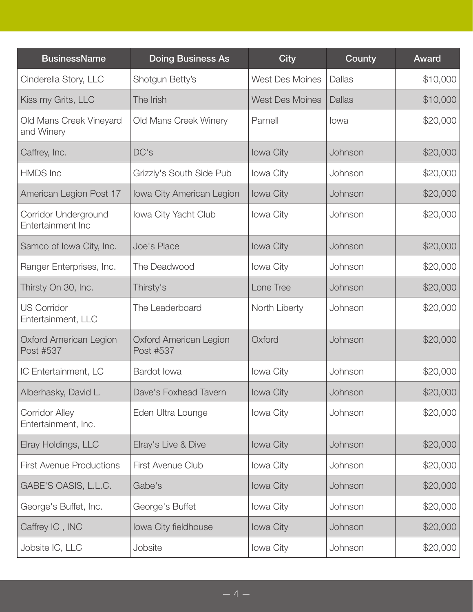| <b>BusinessName</b>                          | <b>Doing Business As</b>                   | <b>City</b>            | County        | Award    |
|----------------------------------------------|--------------------------------------------|------------------------|---------------|----------|
| Cinderella Story, LLC                        | Shotgun Betty's                            | <b>West Des Moines</b> | Dallas        | \$10,000 |
| Kiss my Grits, LLC                           | The Irish                                  | <b>West Des Moines</b> | <b>Dallas</b> | \$10,000 |
| Old Mans Creek Vineyard<br>and Winery        | Old Mans Creek Winery                      | Parnell                | lowa          | \$20,000 |
| Caffrey, Inc.                                | DC's                                       | <b>lowa City</b>       | Johnson       | \$20,000 |
| <b>HMDS</b> Inc                              | Grizzly's South Side Pub                   | Iowa City              | Johnson       | \$20,000 |
| American Legion Post 17                      | Iowa City American Legion                  | Iowa City              | Johnson       | \$20,000 |
| Corridor Underground<br>Entertainment Inc    | Iowa City Yacht Club                       | Iowa City              | Johnson       | \$20,000 |
| Samco of Iowa City, Inc.                     | Joe's Place                                | <b>lowa City</b>       | Johnson       | \$20,000 |
| Ranger Enterprises, Inc.                     | The Deadwood                               | Iowa City              | Johnson       | \$20,000 |
| Thirsty On 30, Inc.                          | Thirsty's                                  | Lone Tree              | Johnson       | \$20,000 |
| <b>US Corridor</b><br>Entertainment, LLC     | The Leaderboard                            | North Liberty          | Johnson       | \$20,000 |
| <b>Oxford American Legion</b><br>Post #537   | <b>Oxford American Legion</b><br>Post #537 | Oxford                 | Johnson       | \$20,000 |
| IC Entertainment, LC                         | Bardot Iowa                                | <b>lowa City</b>       | Johnson       | \$20,000 |
| Alberhasky, David L.                         | Dave's Foxhead Tavern                      | Iowa City              | Johnson       | \$20,000 |
| <b>Corridor Alley</b><br>Entertainment, Inc. | Eden Ultra Lounge                          | Iowa City              | Johnson       | \$20,000 |
| Elray Holdings, LLC                          | Elray's Live & Dive                        | Iowa City              | Johnson       | \$20,000 |
| <b>First Avenue Productions</b>              | First Avenue Club                          | Iowa City              | Johnson       | \$20,000 |
| GABE'S OASIS, L.L.C.                         | Gabe's                                     | Iowa City              | Johnson       | \$20,000 |
| George's Buffet, Inc.                        | George's Buffet                            | Iowa City              | Johnson       | \$20,000 |
| Caffrey IC, INC                              | Iowa City fieldhouse                       | Iowa City              | Johnson       | \$20,000 |
| Jobsite IC, LLC                              | Jobsite                                    | Iowa City              | Johnson       | \$20,000 |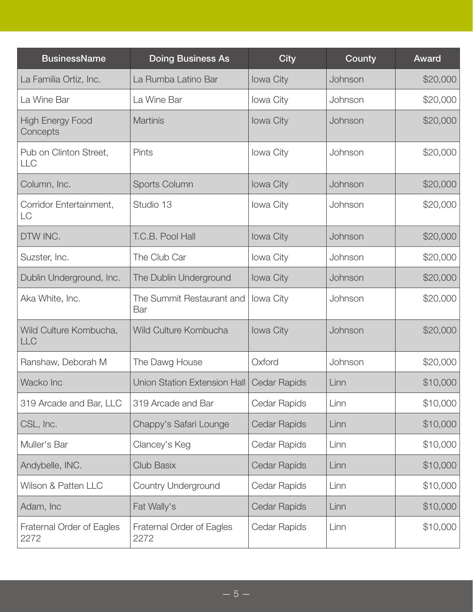| <b>BusinessName</b>                  | <b>Doing Business As</b>          | <b>City</b>         | County  | <b>Award</b> |
|--------------------------------------|-----------------------------------|---------------------|---------|--------------|
| La Familia Ortiz, Inc.               | La Rumba Latino Bar               | Iowa City           | Johnson | \$20,000     |
| La Wine Bar                          | La Wine Bar                       | Iowa City           | Johnson | \$20,000     |
| <b>High Energy Food</b><br>Concepts  | <b>Martinis</b>                   | <b>lowa City</b>    | Johnson | \$20,000     |
| Pub on Clinton Street,<br><b>LLC</b> | Pints                             | <b>lowa City</b>    | Johnson | \$20,000     |
| Column, Inc.                         | Sports Column                     | <b>lowa City</b>    | Johnson | \$20,000     |
| Corridor Entertainment,<br>LC        | Studio 13                         | <b>lowa City</b>    | Johnson | \$20,000     |
| DTW INC.                             | T.C.B. Pool Hall                  | Iowa City           | Johnson | \$20,000     |
| Suzster, Inc.                        | The Club Car                      | Iowa City           | Johnson | \$20,000     |
| Dublin Underground, Inc.             | The Dublin Underground            | Iowa City           | Johnson | \$20,000     |
| Aka White, Inc.                      | The Summit Restaurant and<br>Bar  | <b>lowa City</b>    | Johnson | \$20,000     |
| Wild Culture Kombucha,<br><b>LLC</b> | Wild Culture Kombucha             | <b>lowa City</b>    | Johnson | \$20,000     |
| Ranshaw, Deborah M                   | The Dawg House                    | Oxford              | Johnson | \$20,000     |
| Wacko Inc                            | Union Station Extension Hall      | <b>Cedar Rapids</b> | Linn    | \$10,000     |
| 319 Arcade and Bar, LLC              | 319 Arcade and Bar                | Cedar Rapids        | Linn    | \$10,000     |
| CSL, Inc.                            | Chappy's Safari Lounge            | <b>Cedar Rapids</b> | Linn    | \$10,000     |
| Muller's Bar                         | Clancey's Keg                     | Cedar Rapids        | Linn    | \$10,000     |
| Andybelle, INC.                      | <b>Club Basix</b>                 | <b>Cedar Rapids</b> | Linn    | \$10,000     |
| Wilson & Patten LLC                  | <b>Country Underground</b>        | Cedar Rapids        | Linn    | \$10,000     |
| Adam, Inc                            | Fat Wally's                       | <b>Cedar Rapids</b> | Linn    | \$10,000     |
| Fraternal Order of Eagles<br>2272    | Fraternal Order of Eagles<br>2272 | Cedar Rapids        | Linn    | \$10,000     |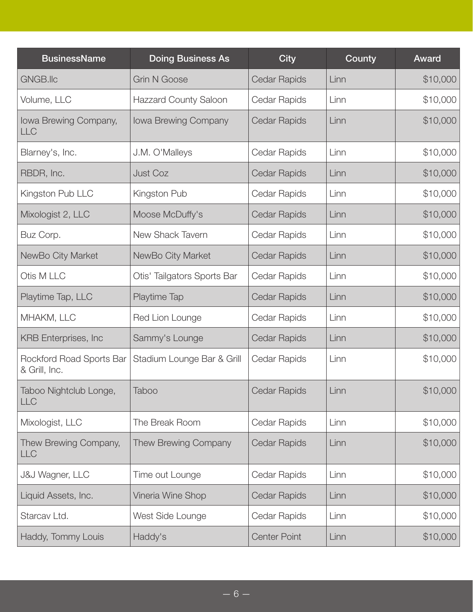| <b>BusinessName</b>                       | <b>Doing Business As</b>     | <b>City</b>         | County | Award    |
|-------------------------------------------|------------------------------|---------------------|--------|----------|
| GNGB.IIc                                  | <b>Grin N Goose</b>          | <b>Cedar Rapids</b> | Linn   | \$10,000 |
| Volume, LLC                               | <b>Hazzard County Saloon</b> | Cedar Rapids        | Linn   | \$10,000 |
| Iowa Brewing Company,<br><b>LLC</b>       | Iowa Brewing Company         | <b>Cedar Rapids</b> | Linn   | \$10,000 |
| Blarney's, Inc.                           | J.M. O'Malleys               | Cedar Rapids        | Linn   | \$10,000 |
| RBDR, Inc.                                | <b>Just Coz</b>              | <b>Cedar Rapids</b> | Linn   | \$10,000 |
| Kingston Pub LLC                          | Kingston Pub                 | Cedar Rapids        | Linn   | \$10,000 |
| Mixologist 2, LLC                         | Moose McDuffy's              | <b>Cedar Rapids</b> | Linn   | \$10,000 |
| Buz Corp.                                 | New Shack Tavern             | Cedar Rapids        | Linn   | \$10,000 |
| NewBo City Market                         | NewBo City Market            | <b>Cedar Rapids</b> | Linn   | \$10,000 |
| Otis M LLC                                | Otis' Tailgators Sports Bar  | Cedar Rapids        | Linn   | \$10,000 |
| Playtime Tap, LLC                         | Playtime Tap                 | <b>Cedar Rapids</b> | Linn   | \$10,000 |
| MHAKM, LLC                                | Red Lion Lounge              | Cedar Rapids        | Linn   | \$10,000 |
| <b>KRB</b> Enterprises, Inc               | Sammy's Lounge               | <b>Cedar Rapids</b> | Linn   | \$10,000 |
| Rockford Road Sports Bar<br>& Grill, Inc. | Stadium Lounge Bar & Grill   | Cedar Rapids        | Linn   | \$10,000 |
| Taboo Nightclub Longe,<br>LLC             | <b>Taboo</b>                 | Cedar Rapids        | Linn   | \$10,000 |
| Mixologist, LLC                           | The Break Room               | Cedar Rapids        | Linn   | \$10,000 |
| Thew Brewing Company,<br><b>LLC</b>       | Thew Brewing Company         | Cedar Rapids        | Linn   | \$10,000 |
| <b>J&amp;J Wagner, LLC</b>                | Time out Lounge              | Cedar Rapids        | Linn   | \$10,000 |
| Liquid Assets, Inc.                       | Vineria Wine Shop            | <b>Cedar Rapids</b> | Linn   | \$10,000 |
| Starcav Ltd.                              | West Side Lounge             | Cedar Rapids        | Linn   | \$10,000 |
| Haddy, Tommy Louis                        | Haddy's                      | <b>Center Point</b> | Linn   | \$10,000 |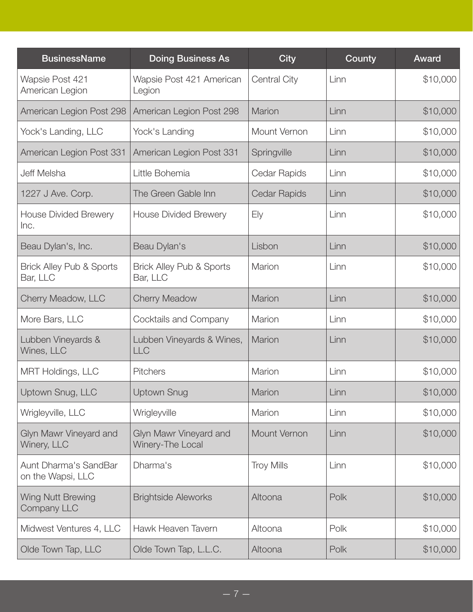| <b>BusinessName</b>                             | <b>Doing Business As</b>                        | <b>City</b>         | County | Award    |
|-------------------------------------------------|-------------------------------------------------|---------------------|--------|----------|
| Wapsie Post 421<br>American Legion              | Wapsie Post 421 American<br>Legion              | Central City        | Linn   | \$10,000 |
| American Legion Post 298                        | American Legion Post 298                        | <b>Marion</b>       | Linn   | \$10,000 |
| Yock's Landing, LLC                             | Yock's Landing                                  | Mount Vernon        | Linn   | \$10,000 |
| American Legion Post 331                        | American Legion Post 331                        | Springville         | Linn   | \$10,000 |
| Jeff Melsha                                     | Little Bohemia                                  | Cedar Rapids        | Linn   | \$10,000 |
| 1227 J Ave. Corp.                               | The Green Gable Inn                             | <b>Cedar Rapids</b> | Linn   | \$10,000 |
| <b>House Divided Brewery</b><br>Inc.            | <b>House Divided Brewery</b>                    | Ely                 | Linn   | \$10,000 |
| Beau Dylan's, Inc.                              | Beau Dylan's                                    | Lisbon              | Linn   | \$10,000 |
| <b>Brick Alley Pub &amp; Sports</b><br>Bar, LLC | <b>Brick Alley Pub &amp; Sports</b><br>Bar, LLC | Marion              | Linn   | \$10,000 |
| Cherry Meadow, LLC                              | <b>Cherry Meadow</b>                            | Marion              | Linn   | \$10,000 |
| More Bars, LLC                                  | Cocktails and Company                           | Marion              | Linn   | \$10,000 |
| Lubben Vineyards &<br>Wines, LLC                | Lubben Vineyards & Wines,<br><b>LLC</b>         | Marion              | Linn   | \$10,000 |
| <b>MRT Holdings, LLC</b>                        | <b>Pitchers</b>                                 | Marion              | Linn   | \$10,000 |
| Uptown Snug, LLC                                | <b>Uptown Snug</b>                              | Marion              | Linn   | \$10,000 |
| Wrigleyville, LLC                               | Wrigleyville                                    | Marion              | Linn   | \$10,000 |
| Glyn Mawr Vineyard and<br>Winery, LLC           | Glyn Mawr Vineyard and<br>Winery-The Local      | Mount Vernon        | Linn   | \$10,000 |
| Aunt Dharma's SandBar<br>on the Wapsi, LLC      | Dharma's                                        | <b>Troy Mills</b>   | Linn   | \$10,000 |
| Wing Nutt Brewing<br>Company LLC                | <b>Brightside Aleworks</b>                      | Altoona             | Polk   | \$10,000 |
| Midwest Ventures 4, LLC                         | Hawk Heaven Tavern                              | Altoona             | Polk   | \$10,000 |
| Olde Town Tap, LLC                              | Olde Town Tap, L.L.C.                           | Altoona             | Polk   | \$10,000 |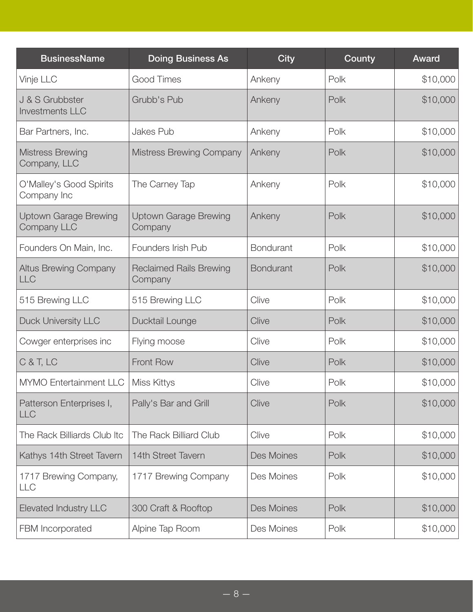| <b>BusinessName</b>                                | <b>Doing Business As</b>                  | <b>City</b>      | County | Award    |
|----------------------------------------------------|-------------------------------------------|------------------|--------|----------|
| Vinje LLC                                          | Good Times                                | Ankeny           | Polk   | \$10,000 |
| J & S Grubbster<br><b>Investments LLC</b>          | Grubb's Pub                               | Ankeny           | Polk   | \$10,000 |
| Bar Partners, Inc.                                 | Jakes Pub                                 | Ankeny           | Polk   | \$10,000 |
| <b>Mistress Brewing</b><br>Company, LLC            | <b>Mistress Brewing Company</b>           | Ankeny           | Polk   | \$10,000 |
| O'Malley's Good Spirits<br>Company Inc             | The Carney Tap                            | Ankeny           | Polk   | \$10,000 |
| <b>Uptown Garage Brewing</b><br><b>Company LLC</b> | <b>Uptown Garage Brewing</b><br>Company   | Ankeny           | Polk   | \$10,000 |
| Founders On Main, Inc.                             | Founders Irish Pub                        | <b>Bondurant</b> | Polk   | \$10,000 |
| <b>Altus Brewing Company</b><br><b>LLC</b>         | <b>Reclaimed Rails Brewing</b><br>Company | <b>Bondurant</b> | Polk   | \$10,000 |
| 515 Brewing LLC                                    | 515 Brewing LLC                           | Clive            | Polk   | \$10,000 |
| <b>Duck University LLC</b>                         | Ducktail Lounge                           | Clive            | Polk   | \$10,000 |
| Cowger enterprises inc                             | Flying moose                              | Clive            | Polk   | \$10,000 |
| C & T, LC                                          | Front Row                                 | Clive            | Polk   | \$10,000 |
| <b>MYMO Entertainment LLC</b>                      | Miss Kittys                               | Clive            | Polk   | \$10,000 |
| Patterson Enterprises I,<br><b>LLC</b>             | Pally's Bar and Grill                     | Clive            | Polk   | \$10,000 |
| The Rack Billiards Club Itc                        | The Rack Billiard Club                    | Clive            | Polk   | \$10,000 |
| Kathys 14th Street Tavern                          | 14th Street Tavern                        | Des Moines       | Polk   | \$10,000 |
| 1717 Brewing Company,<br><b>LLC</b>                | 1717 Brewing Company                      | Des Moines       | Polk   | \$10,000 |
| <b>Elevated Industry LLC</b>                       | 300 Craft & Rooftop                       | Des Moines       | Polk   | \$10,000 |
| FBM Incorporated                                   | Alpine Tap Room                           | Des Moines       | Polk   | \$10,000 |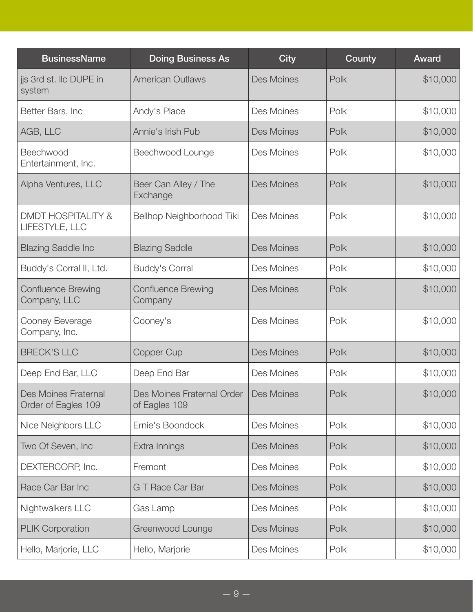| <b>BusinessName</b>                             | <b>Doing Business As</b>                    | <b>City</b> | County | Award    |
|-------------------------------------------------|---------------------------------------------|-------------|--------|----------|
| jjs 3rd st. Ilc DUPE in<br>system               | <b>American Outlaws</b>                     | Des Moines  | Polk   | \$10,000 |
| Better Bars, Inc                                | Andy's Place                                | Des Moines  | Polk   | \$10,000 |
| AGB, LLC                                        | Annie's Irish Pub                           | Des Moines  | Polk   | \$10,000 |
| Beechwood<br>Entertainment, Inc.                | Beechwood Lounge                            | Des Moines  | Polk   | \$10,000 |
| Alpha Ventures, LLC                             | Beer Can Alley / The<br>Exchange            | Des Moines  | Polk   | \$10,000 |
| <b>DMDT HOSPITALITY &amp;</b><br>LIFESTYLE, LLC | Bellhop Neighborhood Tiki                   | Des Moines  | Polk   | \$10,000 |
| <b>Blazing Saddle Inc</b>                       | <b>Blazing Saddle</b>                       | Des Moines  | Polk   | \$10,000 |
| Buddy's Corral II, Ltd.                         | <b>Buddy's Corral</b>                       | Des Moines  | Polk   | \$10,000 |
| <b>Confluence Brewing</b><br>Company, LLC       | <b>Confluence Brewing</b><br>Company        | Des Moines  | Polk   | \$10,000 |
| Cooney Beverage<br>Company, Inc.                | Cooney's                                    | Des Moines  | Polk   | \$10,000 |
| <b>BRECK'S LLC</b>                              | Copper Cup                                  | Des Moines  | Polk   | \$10,000 |
| Deep End Bar, LLC                               | Deep End Bar                                | Des Moines  | Polk   | \$10,000 |
| Des Moines Fraternal<br>Order of Eagles 109     | Des Moines Fraternal Order<br>of Eagles 109 | Des Moines  | Polk   | \$10,000 |
| Nice Neighbors LLC                              | Ernie's Boondock                            | Des Moines  | Polk   | \$10,000 |
| Two Of Seven, Inc                               | Extra Innings                               | Des Moines  | Polk   | \$10,000 |
| DEXTERCORP, Inc.                                | Fremont                                     | Des Moines  | Polk   | \$10,000 |
| Race Car Bar Inc                                | <b>G T Race Car Bar</b>                     | Des Moines  | Polk   | \$10,000 |
| Nightwalkers LLC                                | Gas Lamp                                    | Des Moines  | Polk   | \$10,000 |
| <b>PLIK Corporation</b>                         | Greenwood Lounge                            | Des Moines  | Polk   | \$10,000 |
| Hello, Marjorie, LLC                            | Hello, Marjorie                             | Des Moines  | Polk   | \$10,000 |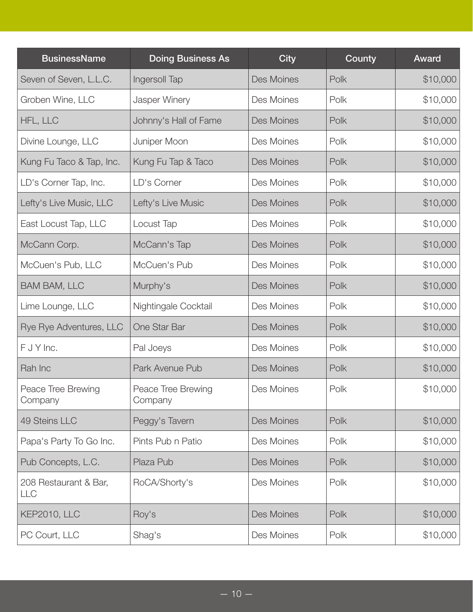| <b>BusinessName</b>                 | <b>Doing Business As</b>      | <b>City</b> | County | Award    |
|-------------------------------------|-------------------------------|-------------|--------|----------|
| Seven of Seven, L.L.C.              | Ingersoll Tap                 | Des Moines  | Polk   | \$10,000 |
| Groben Wine, LLC                    | Jasper Winery                 | Des Moines  | Polk   | \$10,000 |
| HFL, LLC                            | Johnny's Hall of Fame         | Des Moines  | Polk   | \$10,000 |
| Divine Lounge, LLC                  | Juniper Moon                  | Des Moines  | Polk   | \$10,000 |
| Kung Fu Taco & Tap, Inc.            | Kung Fu Tap & Taco            | Des Moines  | Polk   | \$10,000 |
| LD's Corner Tap, Inc.               | LD's Corner                   | Des Moines  | Polk   | \$10,000 |
| Lefty's Live Music, LLC             | Lefty's Live Music            | Des Moines  | Polk   | \$10,000 |
| East Locust Tap, LLC                | Locust Tap                    | Des Moines  | Polk   | \$10,000 |
| McCann Corp.                        | McCann's Tap                  | Des Moines  | Polk   | \$10,000 |
| McCuen's Pub, LLC                   | McCuen's Pub                  | Des Moines  | Polk   | \$10,000 |
| <b>BAM BAM, LLC</b>                 | Murphy's                      | Des Moines  | Polk   | \$10,000 |
| Lime Lounge, LLC                    | Nightingale Cocktail          | Des Moines  | Polk   | \$10,000 |
| Rye Rye Adventures, LLC             | One Star Bar                  | Des Moines  | Polk   | \$10,000 |
| F J Y Inc.                          | Pal Joeys                     | Des Moines  | Polk   | \$10,000 |
| Rah Inc                             | Park Avenue Pub               | Des Moines  | Polk   | \$10,000 |
| Peace Tree Brewing<br>Company       | Peace Tree Brewing<br>Company | Des Moines  | Polk   | \$10,000 |
| 49 Steins LLC                       | Peggy's Tavern                | Des Moines  | Polk   | \$10,000 |
| Papa's Party To Go Inc.             | Pints Pub n Patio             | Des Moines  | Polk   | \$10,000 |
| Pub Concepts, L.C.                  | Plaza Pub                     | Des Moines  | Polk   | \$10,000 |
| 208 Restaurant & Bar,<br><b>LLC</b> | RoCA/Shorty's                 | Des Moines  | Polk   | \$10,000 |
| KEP2010, LLC                        | Roy's                         | Des Moines  | Polk   | \$10,000 |
| PC Court, LLC                       | Shag's                        | Des Moines  | Polk   | \$10,000 |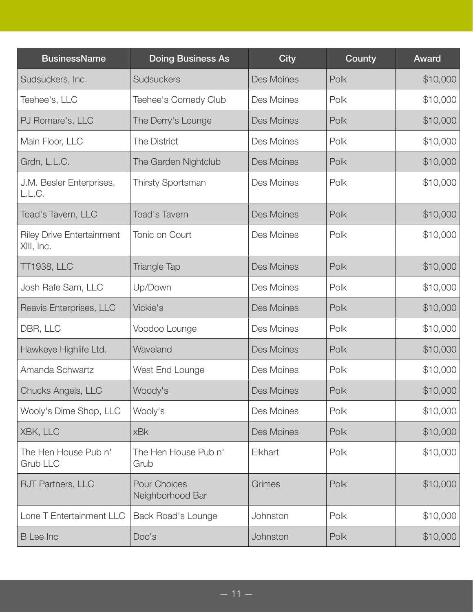| <b>BusinessName</b>                            | <b>Doing Business As</b>                | <b>City</b>       | County | Award    |
|------------------------------------------------|-----------------------------------------|-------------------|--------|----------|
| Sudsuckers, Inc.                               | Sudsuckers                              | Des Moines        | Polk   | \$10,000 |
| Teehee's, LLC                                  | Teehee's Comedy Club                    | Des Moines        | Polk   | \$10,000 |
| PJ Romare's, LLC                               | The Derry's Lounge                      | Des Moines        | Polk   | \$10,000 |
| Main Floor, LLC                                | The District                            | Des Moines        | Polk   | \$10,000 |
| Grdn, L.L.C.                                   | The Garden Nightclub                    | Des Moines        | Polk   | \$10,000 |
| J.M. Besler Enterprises,<br>L.L.C.             | <b>Thirsty Sportsman</b>                | Des Moines        | Polk   | \$10,000 |
| Toad's Tavern, LLC                             | <b>Toad's Tavern</b>                    | Des Moines        | Polk   | \$10,000 |
| <b>Riley Drive Entertainment</b><br>XIII, Inc. | Tonic on Court                          | Des Moines        | Polk   | \$10,000 |
| <b>TT1938, LLC</b>                             | <b>Triangle Tap</b>                     | Des Moines        | Polk   | \$10,000 |
| Josh Rafe Sam, LLC                             | Up/Down                                 | Des Moines        | Polk   | \$10,000 |
| Reavis Enterprises, LLC                        | Vickie's                                | Des Moines        | Polk   | \$10,000 |
| DBR, LLC                                       | Voodoo Lounge                           | Des Moines        | Polk   | \$10,000 |
| Hawkeye Highlife Ltd.                          | Waveland                                | <b>Des Moines</b> | Polk   | \$10,000 |
| Amanda Schwartz                                | West End Lounge                         | Des Moines        | Polk   | \$10,000 |
| Chucks Angels, LLC                             | Woody's                                 | Des Moines        | Polk   | \$10,000 |
| Wooly's Dime Shop, LLC                         | Wooly's                                 | Des Moines        | Polk   | \$10,000 |
| XBK, LLC                                       | <b>xBk</b>                              | Des Moines        | Polk   | \$10,000 |
| The Hen House Pub n'<br><b>Grub LLC</b>        | The Hen House Pub n'<br>Grub            | Elkhart           | Polk   | \$10,000 |
| RJT Partners, LLC                              | <b>Pour Choices</b><br>Neighborhood Bar | Grimes            | Polk   | \$10,000 |
| Lone T Entertainment LLC                       | <b>Back Road's Lounge</b>               | Johnston          | Polk   | \$10,000 |
| <b>B</b> Lee Inc                               | Doc's                                   | Johnston          | Polk   | \$10,000 |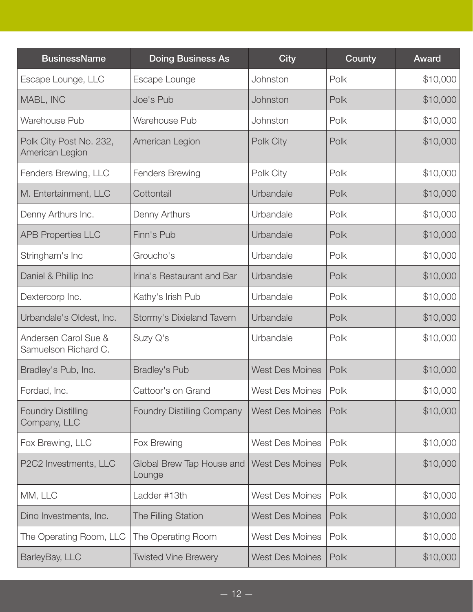| <b>BusinessName</b>                          | <b>Doing Business As</b>            | <b>City</b>            | County | Award    |
|----------------------------------------------|-------------------------------------|------------------------|--------|----------|
| Escape Lounge, LLC                           | Escape Lounge                       | Johnston               | Polk   | \$10,000 |
| MABL, INC                                    | Joe's Pub                           | Johnston               | Polk   | \$10,000 |
| Warehouse Pub                                | Warehouse Pub                       | Johnston               | Polk   | \$10,000 |
| Polk City Post No. 232,<br>American Legion   | American Legion                     | Polk City              | Polk   | \$10,000 |
| Fenders Brewing, LLC                         | <b>Fenders Brewing</b>              | Polk City              | Polk   | \$10,000 |
| M. Entertainment, LLC                        | Cottontail                          | Urbandale              | Polk   | \$10,000 |
| Denny Arthurs Inc.                           | Denny Arthurs                       | Urbandale              | Polk   | \$10,000 |
| <b>APB Properties LLC</b>                    | Finn's Pub                          | Urbandale              | Polk   | \$10,000 |
| Stringham's Inc                              | Groucho's                           | Urbandale              | Polk   | \$10,000 |
| Daniel & Phillip Inc                         | Irina's Restaurant and Bar          | Urbandale              | Polk   | \$10,000 |
| Dextercorp Inc.                              | Kathy's Irish Pub                   | Urbandale              | Polk   | \$10,000 |
| Urbandale's Oldest, Inc.                     | Stormy's Dixieland Tavern           | Urbandale              | Polk   | \$10,000 |
| Andersen Carol Sue &<br>Samuelson Richard C. | Suzy Q's                            | Urbandale              | Polk   | \$10,000 |
| Bradley's Pub, Inc.                          | <b>Bradley's Pub</b>                | <b>West Des Moines</b> | Polk   | \$10,000 |
| Fordad, Inc.                                 | Cattoor's on Grand                  | West Des Moines        | Polk   | \$10,000 |
| <b>Foundry Distilling</b><br>Company, LLC    | <b>Foundry Distilling Company</b>   | <b>West Des Moines</b> | Polk   | \$10,000 |
| Fox Brewing, LLC                             | Fox Brewing                         | <b>West Des Moines</b> | Polk   | \$10,000 |
| P2C2 Investments, LLC                        | Global Brew Tap House and<br>Lounge | <b>West Des Moines</b> | Polk   | \$10,000 |
| MM, LLC                                      | Ladder #13th                        | <b>West Des Moines</b> | Polk   | \$10,000 |
| Dino Investments, Inc.                       | <b>The Filling Station</b>          | <b>West Des Moines</b> | Polk   | \$10,000 |
| The Operating Room, LLC                      | The Operating Room                  | <b>West Des Moines</b> | Polk   | \$10,000 |
| BarleyBay, LLC                               | <b>Twisted Vine Brewery</b>         | <b>West Des Moines</b> | Polk   | \$10,000 |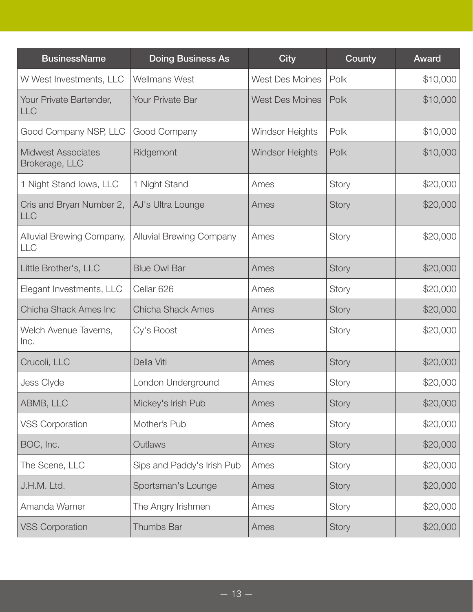| <b>BusinessName</b>                         | <b>Doing Business As</b>        | <b>City</b>            | County | Award    |
|---------------------------------------------|---------------------------------|------------------------|--------|----------|
| W West Investments, LLC                     | <b>Wellmans West</b>            | <b>West Des Moines</b> | Polk   | \$10,000 |
| Your Private Bartender,<br><b>LLC</b>       | <b>Your Private Bar</b>         | <b>West Des Moines</b> | Polk   | \$10,000 |
| Good Company NSP, LLC                       | Good Company                    | <b>Windsor Heights</b> | Polk   | \$10,000 |
| <b>Midwest Associates</b><br>Brokerage, LLC | Ridgemont                       | <b>Windsor Heights</b> | Polk   | \$10,000 |
| 1 Night Stand Iowa, LLC                     | 1 Night Stand                   | Ames                   | Story  | \$20,000 |
| Cris and Bryan Number 2,<br><b>LLC</b>      | AJ's Ultra Lounge               | Ames                   | Story  | \$20,000 |
| Alluvial Brewing Company,<br><b>LLC</b>     | <b>Alluvial Brewing Company</b> | Ames                   | Story  | \$20,000 |
| Little Brother's, LLC                       | <b>Blue Owl Bar</b>             | Ames                   | Story  | \$20,000 |
| Elegant Investments, LLC                    | Cellar 626                      | Ames                   | Story  | \$20,000 |
| Chicha Shack Ames Inc                       | <b>Chicha Shack Ames</b>        | Ames                   | Story  | \$20,000 |
| Welch Avenue Taverns,<br>Inc.               | Cy's Roost                      | Ames                   | Story  | \$20,000 |
| Crucoli, LLC                                | Della Viti                      | Ames                   | Story  | \$20,000 |
| Jess Clyde                                  | London Underground              | Ames                   | Story  | \$20,000 |
| ABMB, LLC                                   | Mickey's Irish Pub              | Ames                   | Story  | \$20,000 |
| <b>VSS Corporation</b>                      | Mother's Pub                    | Ames                   | Story  | \$20,000 |
| BOC, Inc.                                   | Outlaws                         | Ames                   | Story  | \$20,000 |
| The Scene, LLC                              | Sips and Paddy's Irish Pub      | Ames                   | Story  | \$20,000 |
| J.H.M. Ltd.                                 | Sportsman's Lounge              | Ames                   | Story  | \$20,000 |
| Amanda Warner                               | The Angry Irishmen              | Ames                   | Story  | \$20,000 |
| <b>VSS Corporation</b>                      | Thumbs Bar                      | Ames                   | Story  | \$20,000 |